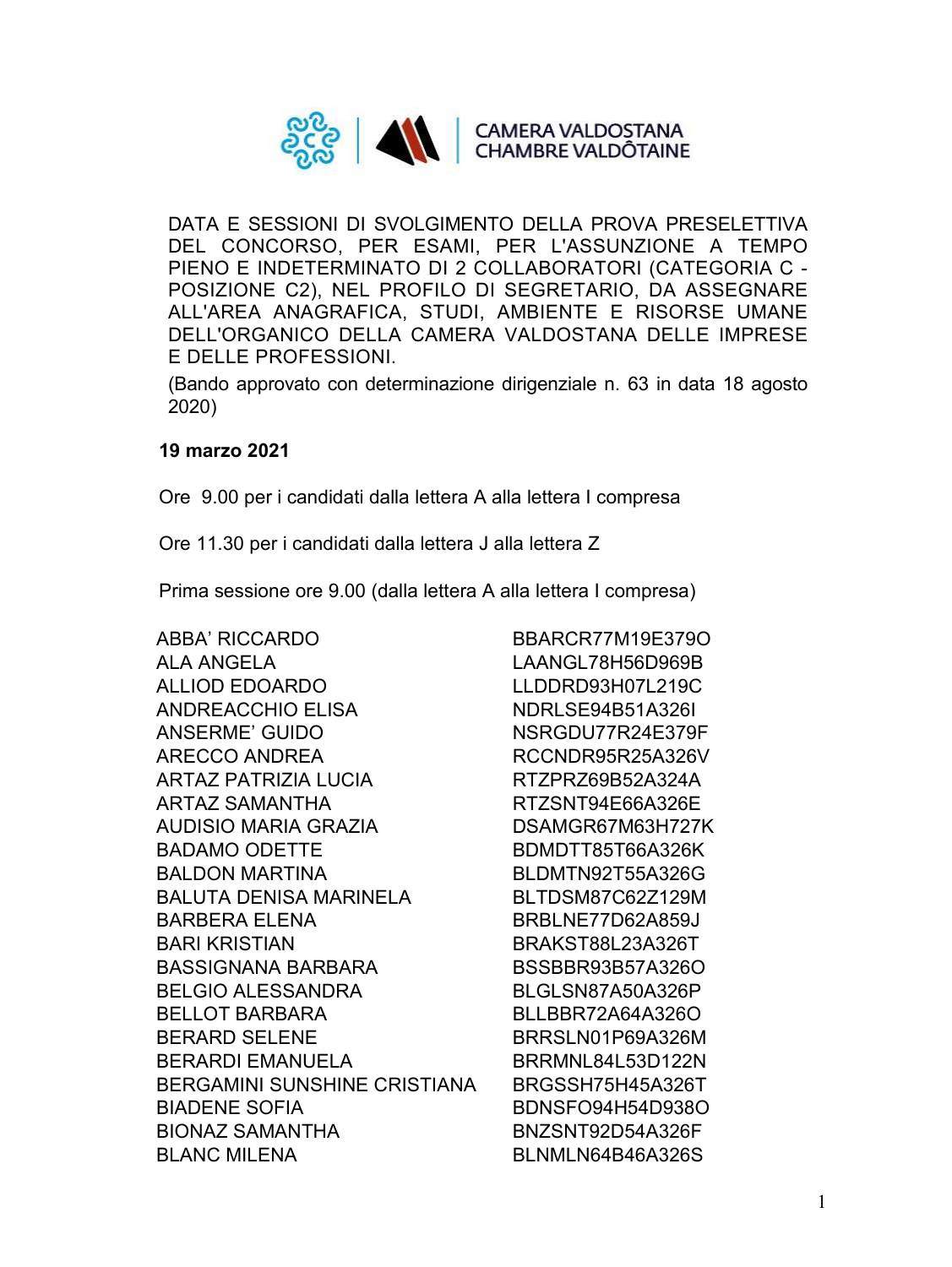

DATA E SESSIONI DI SVOLGIMENTO DELLA PROVA PRESELETTIVA DEL CONCORSO, PER ESAMI, PER L'ASSUNZIONE A TEMPO PIENO E INDETERMINATO DI 2 COLLABORATORI (CATEGORIA C - POSIZIONE C2), NEL PROFILO DI SEGRETARIO, DA ASSEGNARE ALL'AREA ANAGRAFICA, STUDI, AMBIENTE E RISORSE UMANE DELL'ORGANICO DELLA CAMERA VALDOSTANA DELLE IMPRESE E DELLE PROFESSIONI.

(Bando approvato con determinazione dirigenziale n. 63 in data 18 agosto 2020)

## **19 marzo 2021**

Ore 9.00 per i candidati dalla lettera A alla lettera I compresa

Ore 11.30 per i candidati dalla lettera J alla lettera Z

Prima sessione ore 9.00 (dalla lettera A alla lettera I compresa)

ABBA' RICCARDO BBARCR77M19E379O ALA ANGELA LAANGL78H56D969B ALLIOD EDOARDO LLDDRD93H07L219C ANDREACCHIO ELISA NDRLSE94B51A326I ANSERME' GUIDO NSRGDU77R24E379F ARECCO ANDREA RCCNDR95R25A326V ARTAZ PATRIZIA LUCIA RTZPRZ69B52A324A ARTAZ SAMANTHA RTZSNT94E66A326E AUDISIO MARIA GRAZIA DSAMGR67M63H727K BADAMO ODETTE BDMDTT85T66A326K BALDON MARTINA BLDMTN92T55A326G BALUTA DENISA MARINELA BLTDSM87C62Z129M BARBERA ELENA BRBLNE77D62A859J BARI KRISTIAN BRAKST88L23A326T BASSIGNANA BARBARA BSSBBR93B57A326O BELGIO ALESSANDRA BLGLSN87A50A326P BELLOT BARBARA BLLBBR72A64A326O BERARD SELENE BRRSLN01P69A326M BERARDI EMANUELA BRRMNL84L53D122N BERGAMINI SUNSHINE CRISTIANA BRGSSH75H45A326T BIADENE SOFIA BDNSFO94H54D938O BIONAZ SAMANTHA BNZSNT92D54A326F BLANC MILENA BLNMLN64B46A326S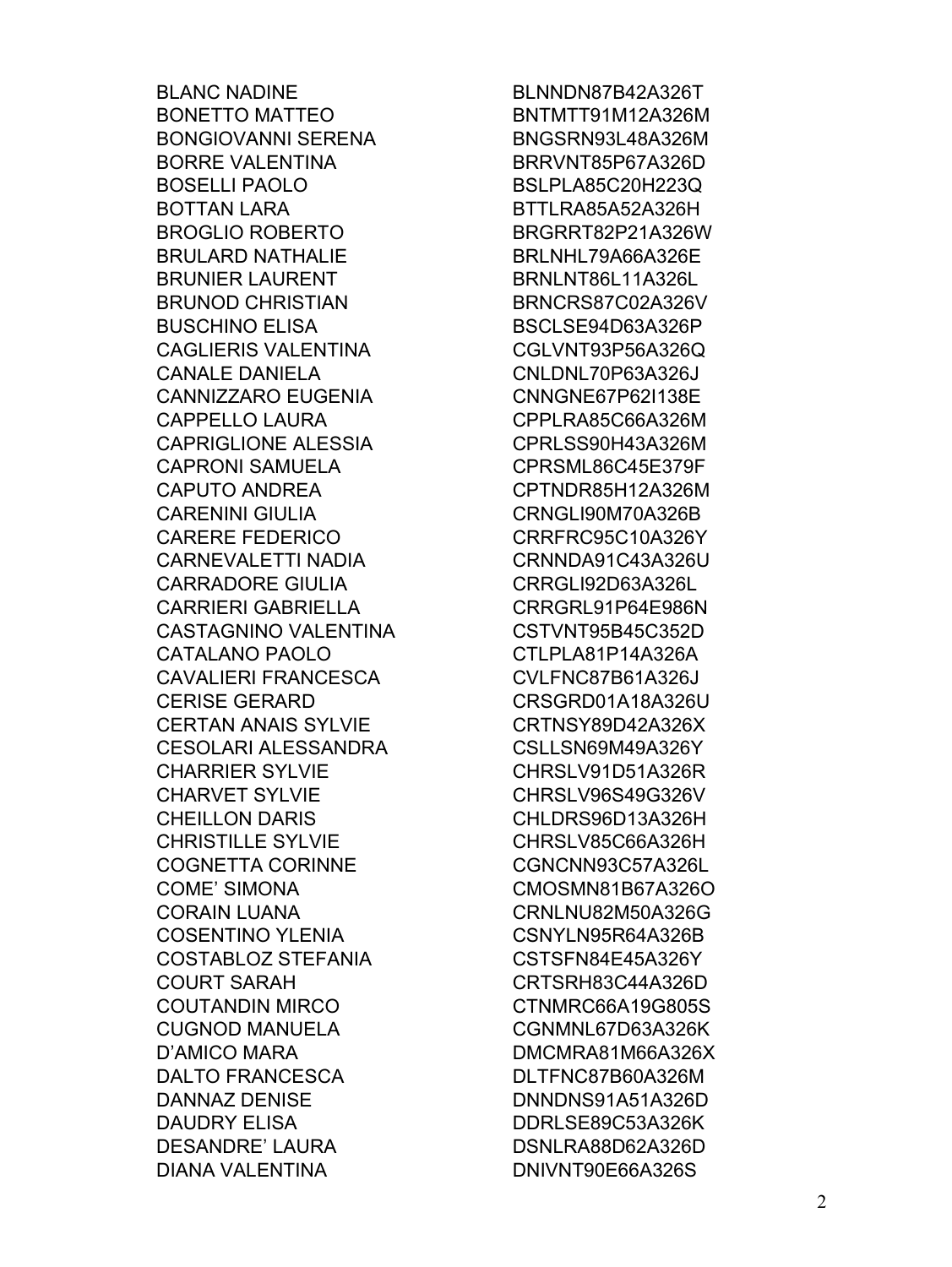**BLANC NADINE BONETTO MATTEO BONGIOVANNI SERENA BORRE VALENTINA BOSELLI PAOLO BOTTAN LARA BROGLIO ROBERTO BRULARD NATHALIE BRUNIER LAURENT BRUNOD CHRISTIAN BUSCHINO ELISA CAGLIERIS VALENTINA CANALE DANIELA CANNIZZARO EUGENIA CAPPELLO LAURA CAPRIGLIONE ALESSIA CAPRONI SAMUELA CAPUTO ANDREA CARENINI GIULIA CARERE FEDERICO CARNEVALETTI NADIA CARRADORE GIULIA CARRIERI GABRIELLA** CASTAGNINO VALENTINA CATALANO PAOLO **CAVALIERI FRANCESCA CERISE GERARD CERTAN ANAIS SYLVIE** CESOLARI ALESSANDRA **CHARRIER SYLVIE CHARVET SYLVIE CHEILLON DARIS CHRISTILLE SYLVIE COGNETTA CORINNE COME' SIMONA CORAIN LUANA COSENTINO YLENIA COSTABLOZ STEFANIA COURT SARAH COUTANDIN MIRCO CUGNOD MANUELA** D'AMICO MARA DALTO FRANCESCA **DANNAZ DENISE DAUDRY ELISA DESANDRE' LAURA DIANA VALENTINA** 

BLNNDN87B42A326T BNTMTT91M12A326M BNGSRN93L48A326M BRRVNT85P67A326D BSLPLA85C20H223Q BTTLRA85A52A326H BRGRRT82P21A326W BRLNHL79A66A326E BRNLNT86L11A326L BRNCRS87C02A326V BSCLSE94D63A326P CGLVNT93P56A326Q CNLDNL70P63A326J CNNGNE67P62I138E CPPLRA85C66A326M CPRLSS90H43A326M CPRSML86C45E379F CPTNDR85H12A326M CRNGLI90M70A326B CRRFRC95C10A326Y CRNNDA91C43A326U CRRGLI92D63A326L CRRGRL91P64E986N CSTVNT95B45C352D CTLPLA81P14A326A CVLFNC87B61A326J CRSGRD01A18A326U CRTNSY89D42A326X CSLLSN69M49A326Y CHRSLV91D51A326R CHRSLV96S49G326V CHLDRS96D13A326H CHRSLV85C66A326H CGNCNN93C57A326L CMOSMN81B67A326O **CRNLNU82M50A326G** CSNYLN95R64A326B CSTSFN84E45A326Y CRTSRH83C44A326D CTNMRC66A19G805S CGNMNL67D63A326K DMCMRA81M66A326X DLTFNC87B60A326M DNNDNS91A51A326D DDRLSE89C53A326K DSNLRA88D62A326D DNIVNT90E66A326S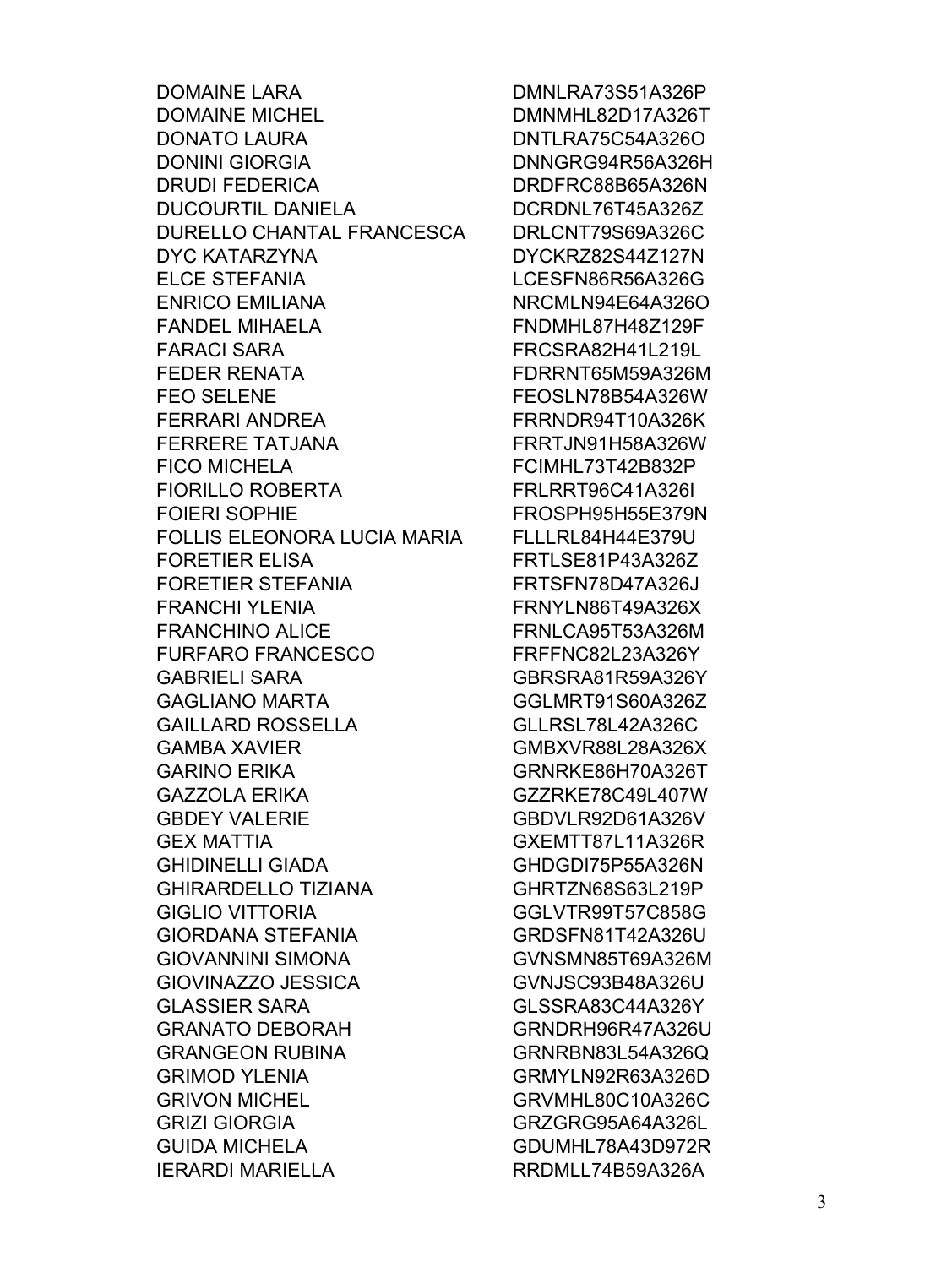**DOMAINE LARA DOMAINE MICHEL DONATO LAURA DONINI GIORGIA DRUDI FEDERICA DUCOURTIL DANIELA** DURELLO CHANTAL FRANCESCA **DYC KATARZYNA ELCE STEFANIA ENRICO EMILIANA FANDEL MIHAELA FARACI SARA FEDER RENATA FEO SELENE** FERRARI ANDREA **FERRERE TATJANA FICO MICHELA FIORILLO ROBERTA FOIERI SOPHIE** FOLLIS ELEONORA LUCIA MARIA **FORETIER ELISA FORETIER STEFANIA FRANCHI YLENIA FRANCHINO ALICE FURFARO FRANCESCO GABRIELI SARA GAGLIANO MARTA GAILLARD ROSSELLA GAMBA XAVIER GARINO ERIKA GAZZOLA ERIKA GBDEY VALERIE GEX MATTIA GHIDINELLI GIADA GHIRARDELLO TIZIANA GIGLIO VITTORIA GIORDANA STEFANIA** GIOVANNINI SIMONA GIOVINAZZO JESSICA **GLASSIER SARA GRANATO DEBORAH GRANGEON RUBINA GRIMOD YLENIA GRIVON MICHEL GRIZI GIORGIA GUIDA MICHELA IERARDI MARIELLA** 

DMNLRA73S51A326P DMNMHL82D17A326T DNTLRA75C54A326O DNNGRG94R56A326H DRDFRC88B65A326N DCRDNL76T45A326Z DRLCNT79S69A326C DYCKRZ82S44Z127N LCESFN86R56A326G NRCMLN94E64A326O FNDMHL87H48Z129F FRCSRA82H41L219L FDRRNT65M59A326M FEOSLN78B54A326W FRRNDR94T10A326K FRRTJN91H58A326W FCIMHL73T42B832P **FRLRRT96C41A326L** FROSPH95H55E379N FLLLRL84H44E379U FRTLSE81P43A326Z FRTSFN78D47A326J FRNYLN86T49A326X FRNLCA95T53A326M FRFFNC82L23A326Y GBRSRA81R59A326Y GGLMRT91S60A326Z GLLRSL78L42A326C GMBXVR88L28A326X GRNRKE86H70A326T GZZRKE78C49L407W GBDVLR92D61A326V GXEMTT87L11A326R GHDGDI75P55A326N GHRTZN68S63L219P GGLVTR99T57C858G GRDSFN81T42A326U GVNSMN85T69A326M GVNJSC93B48A326U GLSSRA83C44A326Y GRNDRH96R47A326U GRNRBN83L54A326Q GRMYLN92R63A326D GRVMHL80C10A326C GRZGRG95A64A326L GDUMHL78A43D972R RRDMLL74B59A326A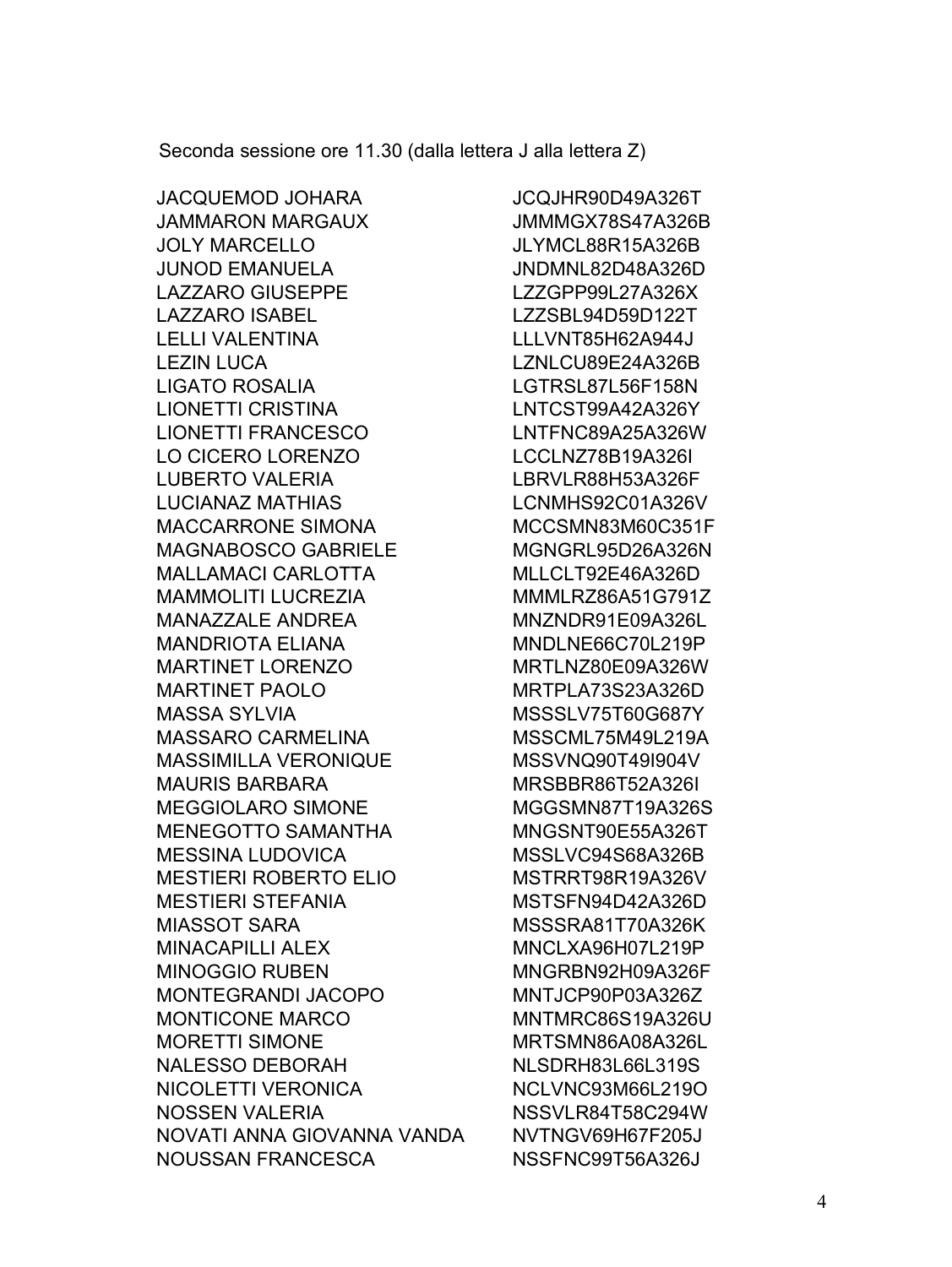Seconda sessione ore 11.30 (dalla lettera J alla lettera Z)

JACQUEMOD JOHARA JCQJHR90D49A326T JAMMARON MARGAUX JMMMGX78S47A326B JOLY MARCELLO JLYMCL88R15A326B JUNOD EMANUELA JNDMNL82D48A326D LAZZARO GIUSEPPE LZZGPP99L27A326X LAZZARO ISABEL LAZZSBL94D59D122T LELLI VALENTINA LLLVNT85H62A944J LEZIN LUCA LZNLCU89E24A326B LIGATO ROSALIA LGTRSL87L56F158N LIONETTI CRISTINA LNTCST99A42A326Y LIONETTI FRANCESCO LNTFNC89A25A326W LO CICERO LORENZO LOCLNZ78B19A326I LUBERTO VALERIA LBRVLR88H53A326F LUCIANAZ MATHIAS LONMHS92C01A326V MACCARRONE SIMONA MCCSMN83M60C351F MAGNABOSCO GABRIELE MGNGRL95D26A326N MALLAMACI CARLOTTA MLLCLT92E46A326D MAMMOLITI LUCREZIA MMMLRZ86A51G791Z MANAZZALE ANDREA MNZNDR91E09A326L MANDRIOTA ELIANA MNDLNE66C70L219P MARTINET LORENZO MRTLNZ80E09A326W MARTINET PAOLO MRTPLA73S23A326D MASSA SYLVIA MSSSLV75T60G687Y MASSARO CARMELINA MSSCML75M49L219A MASSIMILLA VERONIQUE MSSVNQ90T49I904V MAURIS BARBARA MRSBBR86T52A326I MEGGIOLARO SIMONE MGGSMN87T19A326S MENEGOTTO SAMANTHA MNGSNT90E55A326T MESSINA LUDOVICA MSSLVC94S68A326B MESTIERI ROBERTO ELIO MSTRRT98R19A326V MESTIERI STEFANIA MSTSFN94D42A326D MIASSOT SARA MSSSRA81T70A326K MINACAPILLI ALEX MNCLXA96H07L219P MINOGGIO RUBEN MINGRBN92H09A326F MONTEGRANDI JACOPO MNTJCP90P03A326Z MONTICONE MARCO MNTMRC86S19A326U MORETTI SIMONE MRTSMN86A08A326L NALESSO DEBORAH NLSDRH83L66L319S NICOLETTI VERONICA NCLVNC93M66L219O NOSSEN VALERIA NSSVLR84T58C294W NOVATI ANNA GIOVANNA VANDA NVTNGV69H67F205J NOUSSAN FRANCESCA NSSFNC99T56A326J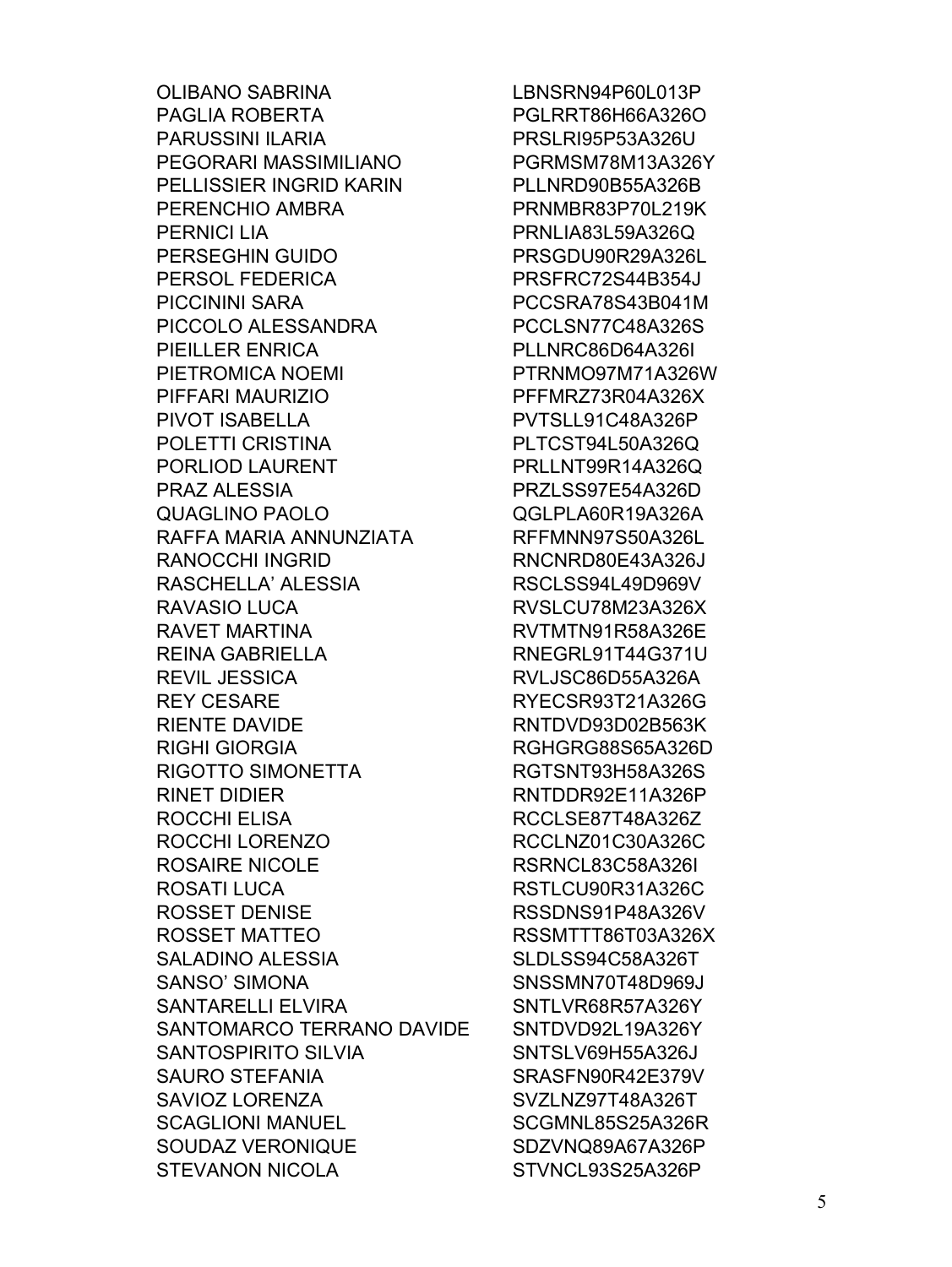**OLIBANO SABRINA** PAGLIA ROBERTA **PARUSSINI ILARIA** PEGORARI MASSIMILIANO PELLISSIER INGRID KARIN PERENCHIO AMBRA **PERNICI LIA** PERSEGHIN GUIDO PERSOL FEDERICA **PICCININI SARA** PICCOLO ALESSANDRA **PIEILLER ENRICA** PIETROMICA NOEMI PIFFARI MAURIZIO **PIVOT ISABELLA** POLETTI CRISTINA PORLIOD LAURENT PRAZ ALESSIA **QUAGLINO PAOLO** RAFFA MARIA ANNUNZIATA RANOCCHI INGRID RASCHELLA' ALESSIA RAVASIO LUCA **RAVET MARTINA** REINA GABRIELLA **REVIL JESSICA REY CESARE RIENTE DAVIDE RIGHI GIORGIA** RIGOTTO SIMONETTA RINFT DIDIFR ROCCHI ELISA ROCCHI LORENZO ROSAIRE NICOLE **ROSATI LUCA ROSSET DENISE** ROSSET MATTEO **SALADINO ALESSIA SANSO' SIMONA SANTARELLI ELVIRA** SANTOMARCO TERRANO DAVIDE **SANTOSPIRITO SILVIA SAURO STEFANIA SAVIOZ LORENZA SCAGLIONI MANUEL** SOUDAZ VERONIQUE **STEVANON NICOLA** 

LBNSRN94P60L013P PGLRRT86H66A326O **PRSLRI95P53A326U** PGRMSM78M13A326Y PLLNRD90B55A326B PRNMBR83P70L219K PRNLIA83L59A326Q PRSGDU90R29A326L PRSFRC72S44B354J PCCSRA78S43B041M PCCLSN77C48A326S PLLNRC86D64A326I PTRNMO97M71A326W PFFMRZ73R04A326X PVTSLL91C48A326P PLTCST94L50A326Q PRLLNT99R14A326Q PRZLSS97E54A326D QGLPLA60R19A326A RFFMNN97S50A326L RNCNRD80E43A326J RSCLSS94L49D969V RVSLCU78M23A326X RVTMTN91R58A326E **RNEGRL91T44G371U** RVLJSC86D55A326A RYECSR93T21A326G RNTDVD93D02B563K RGHGRG88S65A326D RGTSNT93H58A326S RNTDDR92E11A326P RCCLSE87T48A326Z RCCLNZ01C30A326C RSRNCL83C58A326L RSTLCU90R31A326C RSSDNS91P48A326V RSSMTTT86T03A326X SLDLSS94C58A326T SNSSMN70T48D969J SNTLVR68R57A326Y SNTDVD92L19A326Y SNTSLV69H55A326J SRASFN90R42E379V SVZLNZ97T48A326T SCGMNL85S25A326R SDZVNQ89A67A326P STVNCL93S25A326P